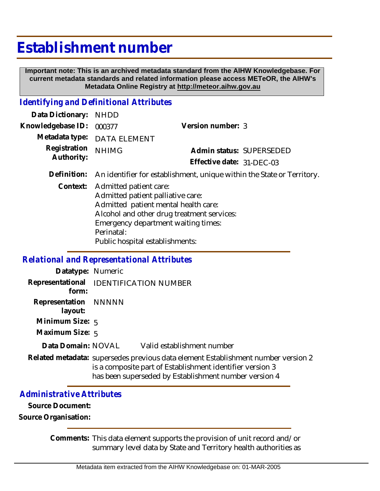# **Establishment number**

 **Important note: This is an archived metadata standard from the AIHW Knowledgebase. For current metadata standards and related information please access METeOR, the AIHW's Metadata Online Registry at http://meteor.aihw.gov.au**

## *Identifying and Definitional Attributes*

| Data Dictionary: NHDD    |                             |                           |  |
|--------------------------|-----------------------------|---------------------------|--|
| Knowledgebase ID: 000377 |                             | Version number: 3         |  |
|                          | Metadata type: DATA ELEMENT |                           |  |
| Registration NHIMG       |                             | Admin status: SUPERSEDED  |  |
| Authority:               |                             | Effective date: 31-DFC-03 |  |
|                          |                             |                           |  |

**Definition:** An identifier for establishment, unique within the State or Territory.

Context: Admitted patient care: Admitted patient palliative care: Admitted patient mental health care: Alcohol and other drug treatment services: Emergency department waiting times: Perinatal: Public hospital establishments:

#### *Relational and Representational Attributes*

| Datatype: Numeric                               |                                                                                                                                                                                                         |
|-------------------------------------------------|---------------------------------------------------------------------------------------------------------------------------------------------------------------------------------------------------------|
| Representational IDENTIFICATION NUMBER<br>form: |                                                                                                                                                                                                         |
| Representation NNNNN<br>layout:                 |                                                                                                                                                                                                         |
| Minimum Size: 5                                 |                                                                                                                                                                                                         |
| Maximum Size: 5                                 |                                                                                                                                                                                                         |
|                                                 | Data Domain: NOVAL Valid establishment number                                                                                                                                                           |
|                                                 | Related metadata: supersedes previous data element Establishment number version 2<br>is a composite part of Establishment identifier version 3<br>has been superseded by Establishment number version 4 |

### *Administrative Attributes*

**Source Document:**

**Source Organisation:**

Comments: This data element supports the provision of unit record and/or summary level data by State and Territory health authorities as